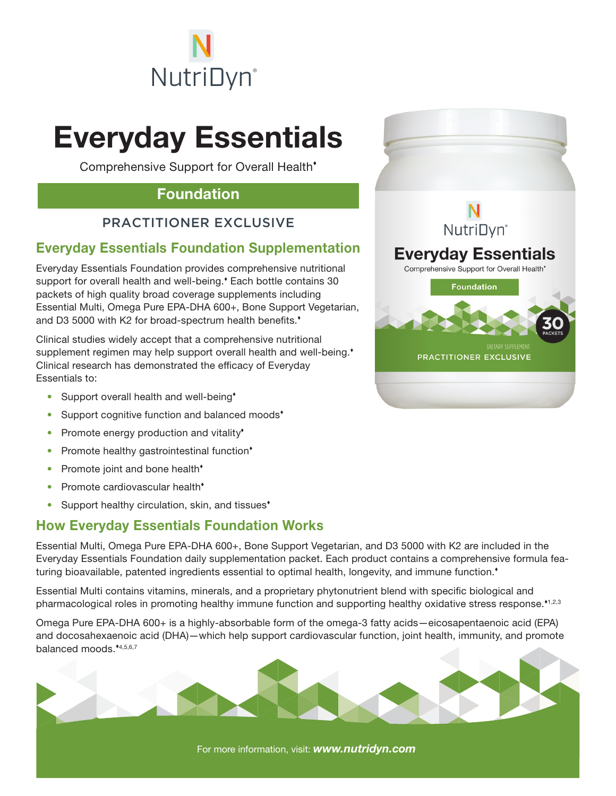

# Everyday Essentials

Comprehensive Support for Overall Health

### Foundation

#### PRACTITIONER EXCLUSIVE

#### Everyday Essentials Foundation Supplementation

Everyday Essentials Foundation provides comprehensive nutritional support for overall health and well-being. Each bottle contains 30 packets of high quality broad coverage supplements including Essential Multi, Omega Pure EPA-DHA 600+, Bone Support Vegetarian, and D3 5000 with K2 for broad-spectrum health benefits.<sup>\*</sup>

Clinical studies widely accept that a comprehensive nutritional supplement regimen may help support overall health and well-being.<sup>\*</sup> Clinical research has demonstrated the efficacy of Everyday Essentials to:

- Support overall health and well-being<sup>\*</sup>
- Support cognitive function and balanced moods<sup>\*</sup>
- Promote energy production and vitality<sup>\*</sup>
- Promote healthy gastrointestinal function\*
- Promote joint and bone health<sup>\*</sup>
- Promote cardiovascular health<sup>\*</sup>
- Support healthy circulation, skin, and tissues<sup>\*</sup>

#### How Everyday Essentials Foundation Works

Essential Multi, Omega Pure EPA-DHA 600+, Bone Support Vegetarian, and D3 5000 with K2 are included in the Everyday Essentials Foundation daily supplementation packet. Each product contains a comprehensive formula featuring bioavailable, patented ingredients essential to optimal health, longevity, and immune function.<sup>\*</sup>

Essential Multi contains vitamins, minerals, and a proprietary phytonutrient blend with specific biological and pharmacological roles in promoting healthy immune function and supporting healthy oxidative stress response.<sup>41,2,3</sup>

Omega Pure EPA-DHA 600+ is a highly-absorbable form of the omega-3 fatty acids—eicosapentaenoic acid (EPA) and docosahexaenoic acid (DHA)—which help support cardiovascular function, joint health, immunity, and promote balanced moods.\*4,5,6,7



For more information, visit: *www.nutridyn.com*